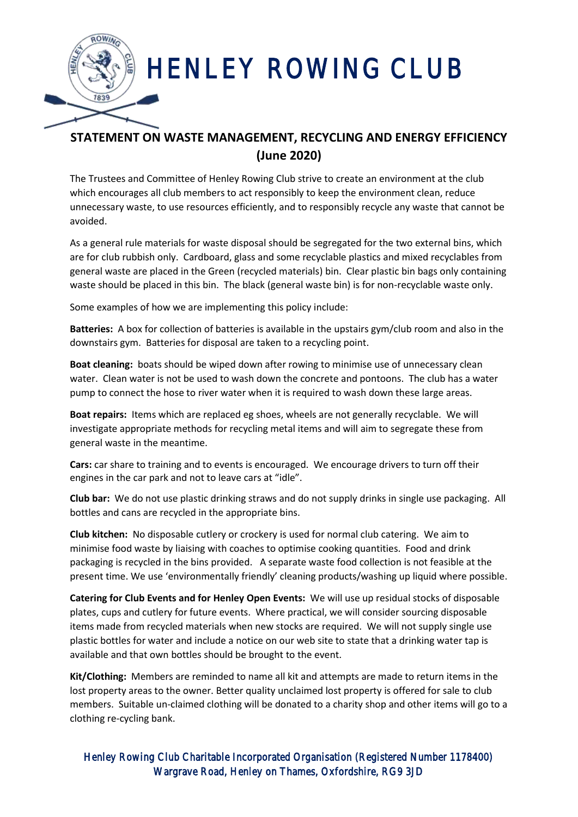

## HENLEY ROWING CLUB

## **STATEMENT ON WASTE MANAGEMENT, RECYCLING AND ENERGY EFFICIENCY (June 2020)**

The Trustees and Committee of Henley Rowing Club strive to create an environment at the club which encourages all club members to act responsibly to keep the environment clean, reduce unnecessary waste, to use resources efficiently, and to responsibly recycle any waste that cannot be avoided.

As a general rule materials for waste disposal should be segregated for the two external bins, which are for club rubbish only. Cardboard, glass and some recyclable plastics and mixed recyclables from general waste are placed in the Green (recycled materials) bin. Clear plastic bin bags only containing waste should be placed in this bin. The black (general waste bin) is for non-recyclable waste only.

Some examples of how we are implementing this policy include:

**Batteries:** A box for collection of batteries is available in the upstairs gym/club room and also in the downstairs gym. Batteries for disposal are taken to a recycling point.

**Boat cleaning:** boats should be wiped down after rowing to minimise use of unnecessary clean water. Clean water is not be used to wash down the concrete and pontoons. The club has a water pump to connect the hose to river water when it is required to wash down these large areas.

**Boat repairs:** Items which are replaced eg shoes, wheels are not generally recyclable. We will investigate appropriate methods for recycling metal items and will aim to segregate these from general waste in the meantime.

**Cars:** car share to training and to events is encouraged. We encourage drivers to turn off their engines in the car park and not to leave cars at "idle".

**Club bar:** We do not use plastic drinking straws and do not supply drinks in single use packaging. All bottles and cans are recycled in the appropriate bins.

**Club kitchen:** No disposable cutlery or crockery is used for normal club catering. We aim to minimise food waste by liaising with coaches to optimise cooking quantities. Food and drink packaging is recycled in the bins provided. A separate waste food collection is not feasible at the present time. We use 'environmentally friendly' cleaning products/washing up liquid where possible.

**Catering for Club Events and for Henley Open Events:** We will use up residual stocks of disposable plates, cups and cutlery for future events. Where practical, we will consider sourcing disposable items made from recycled materials when new stocks are required. We will not supply single use plastic bottles for water and include a notice on our web site to state that a drinking water tap is available and that own bottles should be brought to the event.

**Kit/Clothing:** Members are reminded to name all kit and attempts are made to return items in the lost property areas to the owner. Better quality unclaimed lost property is offered for sale to club members. Suitable un-claimed clothing will be donated to a charity shop and other items will go to a clothing re-cycling bank.

Henley Rowing Club Charitable Incorporated Organisation (Registered Number 1178400) Wargrave Road, Henley on Thames, Oxfordshire, RG9 3JD